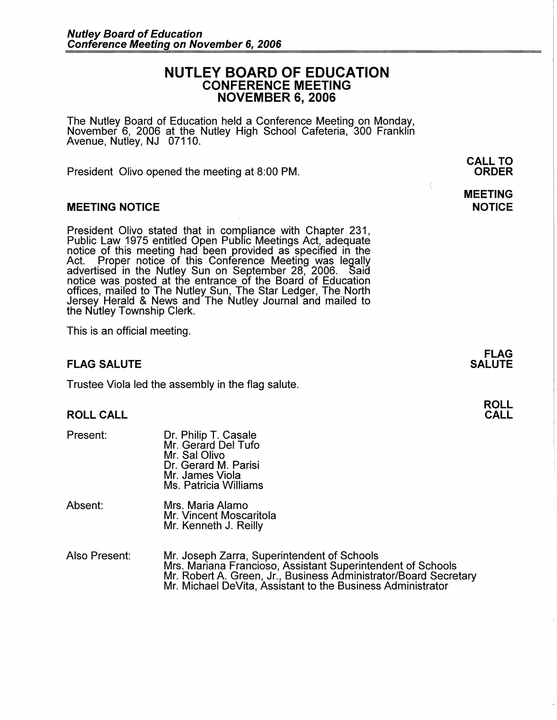# **NUTLEY BOARD OF EDUCATION CONFERENCE MEETING NOVEMBER 6, 2006**

The Nutley Board of Education held a Conference Meeting on Monday, November 6, 2006 at the Nutley High School Cafeteria, 300 Franklin Avenue, Nutley, NJ 07110.

President Olivo opened the meeting at 8:00 PM.

### **MEETING NOTICE**

President Olivo stated that in compliance with Chapter 231, Public Law 1975 entitled Open Public Meetings Act, adequate notice of this meeting had been provided as specified in the Act. Proper notice of this Conference Meeting was legally advertised in the Nutley Sun on September 28, 2006. Saia notice was posted at the entrance of the Board of Education offices, mailed to The Nutley Sun, The Star Ledger, The North Jersey Herald & News and The Nutley Journal and mailed to the Nutley Township Clerk.

This is an official meeting.

### **FLAG SALUTE**

Trustee Viola led the assembly in the flag salute.

## **ROLL CALL**

Present:

Dr. Philip T. Casale Mr. Gerard Del Tufo Mr. Sal Olivo Dr. Gerard M. Parisi Mr. James Viola Ms. Patricia Williams

Absent: Mrs. Maria Alamo Mr. Vincent Moscaritola Mr. Kenneth J. Reilly

Also Present: Mr. Joseph Zarra, Superintendent of Schools Mrs. Mariana Franciosa, Assistant Superintendent of Schools Mr. Robert A. Green, Jr., Business Administrator/Board Secretary Mr. Michael DeVita, Assistant to the Business Administrator

**CALL TO ORDER** 

## **MEETING NOTICE**

**FLAG SALUTE** 

> **ROLL CALL**